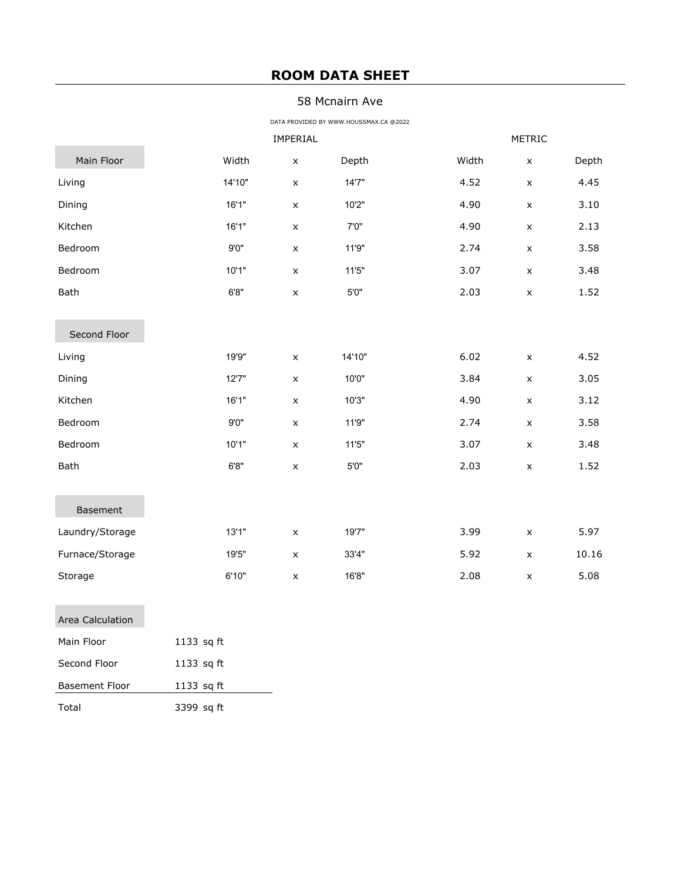## **ROOM DATA SHEET**

## 58 Mcnairn Ave

DATA PROVIDED BY WWW.HOUSSMAX.CA @2022

|                       | IMPERIAL   |                    |        |       | METRIC             |       |  |
|-----------------------|------------|--------------------|--------|-------|--------------------|-------|--|
| Main Floor            | Width      | $\pmb{\mathsf{x}}$ | Depth  | Width | $\pmb{\mathsf{x}}$ | Depth |  |
| Living                | 14'10"     | $\pmb{\times}$     | 14'7"  | 4.52  | $\pmb{\times}$     | 4.45  |  |
| Dining                | 16'1"      | $\pmb{\times}$     | 10'2"  | 4.90  | $\pmb{\mathsf{x}}$ | 3.10  |  |
| Kitchen               | 16'1"      | $\pmb{\times}$     | 7'0"   | 4.90  | $\pmb{\times}$     | 2.13  |  |
| Bedroom               | 9'0''      | $\pmb{\times}$     | 11'9"  | 2.74  | $\pmb{\times}$     | 3.58  |  |
| Bedroom               | 10'1"      | $\pmb{\times}$     | 11'5'' | 3.07  | $\pmb{\times}$     | 3.48  |  |
| Bath                  | 6'8"       | $\pmb{\mathsf{X}}$ | 5'0"   | 2.03  | $\pmb{\mathsf{X}}$ | 1.52  |  |
|                       |            |                    |        |       |                    |       |  |
| Second Floor          |            |                    |        |       |                    |       |  |
| Living                | 19'9"      | $\pmb{\mathsf{x}}$ | 14'10" | 6.02  | $\pmb{\mathsf{X}}$ | 4.52  |  |
| Dining                | 12'7"      | $\pmb{\times}$     | 10'0"  | 3.84  | $\pmb{\times}$     | 3.05  |  |
| Kitchen               | 16'1"      | $\pmb{\times}$     | 10'3"  | 4.90  | $\pmb{\times}$     | 3.12  |  |
| Bedroom               | 9'0''      | $\pmb{\times}$     | 11'9"  | 2.74  | $\pmb{\times}$     | 3.58  |  |
| Bedroom               | 10'1"      | $\pmb{\times}$     | 11'5'' | 3.07  | $\pmb{\mathsf{x}}$ | 3.48  |  |
| Bath                  | 6'8"       | $\pmb{\times}$     | $5'0"$ | 2.03  | $\pmb{\times}$     | 1.52  |  |
|                       |            |                    |        |       |                    |       |  |
| Basement              |            |                    |        |       |                    |       |  |
| Laundry/Storage       | 13'1"      | $\pmb{\times}$     | 19'7"  | 3.99  | $\pmb{\times}$     | 5.97  |  |
| Furnace/Storage       | 19'5"      | $\pmb{\times}$     | 33'4"  | 5.92  | $\pmb{\times}$     | 10.16 |  |
| Storage               | 6'10"      | X                  | 16'8"  | 2.08  | $\pmb{\mathsf{X}}$ | 5.08  |  |
|                       |            |                    |        |       |                    |       |  |
| Area Calculation      |            |                    |        |       |                    |       |  |
| Main Floor            | 1133 sq ft |                    |        |       |                    |       |  |
| Second Floor          | 1133 sq ft |                    |        |       |                    |       |  |
| <b>Basement Floor</b> | 1133 sq ft |                    |        |       |                    |       |  |

Total 3399 sq ft